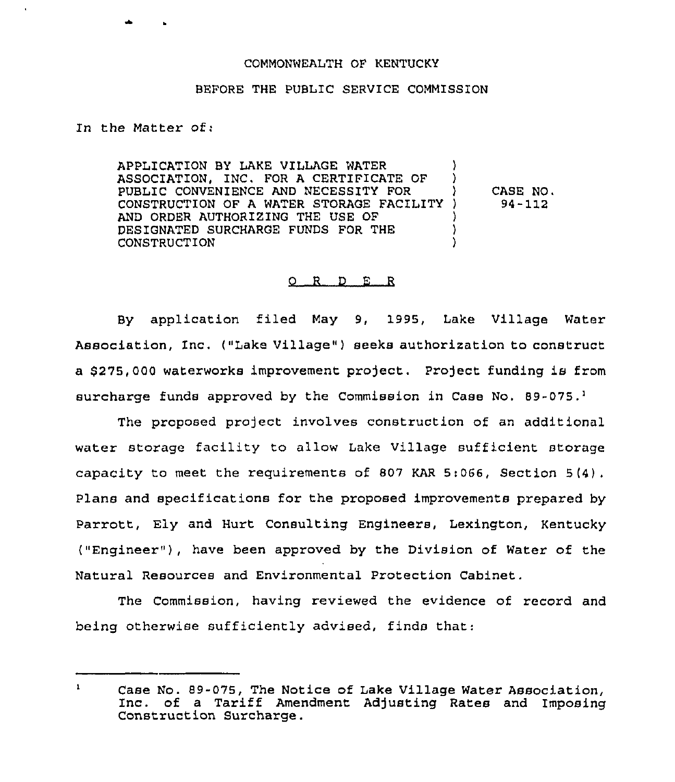## COMMONWEALTH OF KENTUCKY

## BEFORE THE PUBLIC SERVICE COMMISSION

In the Matter of:

APPLICATION BY LAKE VILLAGE WATER ASSOCIATION, INC. FOR A CERTIFICATE OF PUBLIC CONVENIENCE AND NECESSITY FOR CONSTRUCTION OF A WATER STORAGE FACILITY AND ORDER AUTHORIZING THE USE OF DESIGNATED SURCHARGE FUNDS FOR THE CONSTRUCTION ) ) ) CASE NO, ) 94-112 ) ) )

## 0 <sup>R</sup> <sup>D</sup> E <sup>R</sup>

By application filed May 9, 1995, Lake Village Water Association, Inc. ("Lake Village" ) seeks authorization to construct a \$275,000 waterworks improvement project. Project funding is from surcharge funds approved by the Commission in Case No.  $89-075.^1$ 

The proposed project involves construction of an additional water storage facility to allow Lake Village sufficient storage capacity to meet the requirements of 807 KAR 5:066, Section 5(4). Plans and specifications for the proposed improvements prepared by Parrott, Ely and Hurt Consulting Engineers, Lexington, Kentucky ("Engineer"), have been approved by the Division of Water of the Natural Resources and Environmental Protection Cabinet.

The Commission, having reviewed the evidence of record and being otherwise sufficiently advised, finds that:

 $\mathbf{1}$ Case No. 89-075, The Notice of Lake Village Water Association, Inc. of a Tariff Amendment Adjusting Rates and Imposing Construction Surcharge.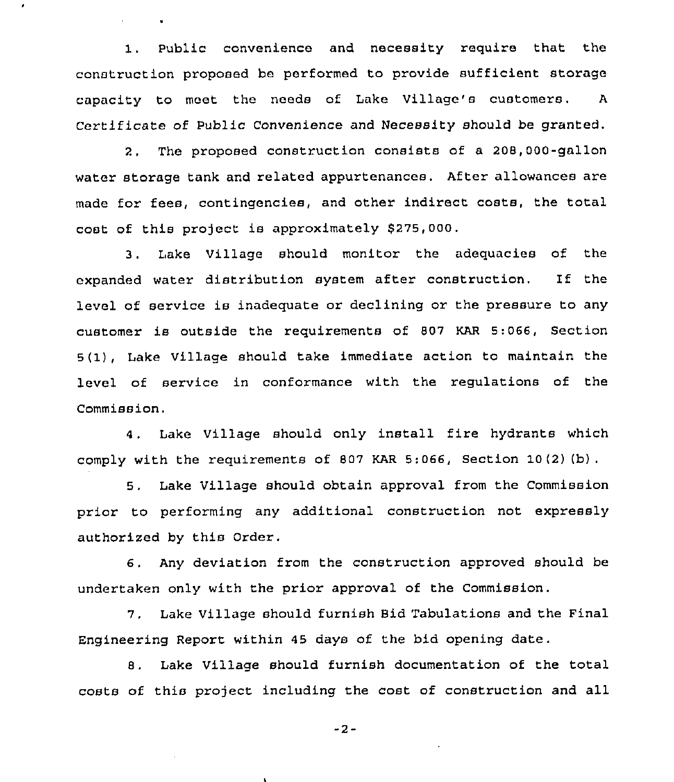I, Public convenience and necessity require that the construction proposed be performed to provide sufficient storage capacity to meet the needs of Lake Village's customers. <sup>A</sup> Certificate of Public Convenience and Necessity should be granted.

2, The proposed construction consists of a 208,000-gallon water storage tank and related appurtenances. After allowances are made for fees, contingencies, and other indirect costs, the total cost of this project is approximately \$275,000.

3, I,ake Village should monitor the adequacies of the expanded water distribution system after construction. If the level of service is inadequate or declining or the pressure to any customer is outside the requirements of 807 KAR 5:066, Section 5(1), Lake Village should take immediate action to maintain the level of service in conformance with the regulations of the Commission.

4, Lake Village should only install fire hydrants which comply with the requirements of 807 KAR 5:066, Section 10(2) (b) .

5, Lake Village should obtain approval from the Commission prior to performing any additional construction not expressly authorised by this Order.

6. Any deviation from the construction approved should be undertaken only with the prior approval of the Commission.

7. Lake Village should furnish Bid Tabulations and the Final Engineering Report within 45 days of the bid opening date.

8. Lake Village should furnish documentation of the total costs of this project including the cost of construction and all

-2-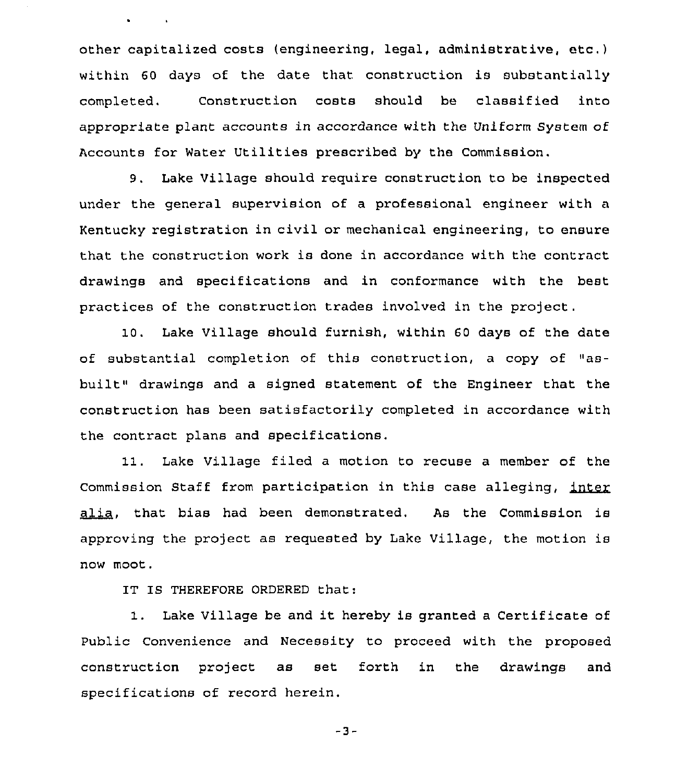other capitalized costs (engineering, legal, administrative, etc.) within 60 days of the date that construction is substantially completed. Construction costs should be classified into appropriate plant accounts in accordance with the Uniform System of Accounts for Water Utilities prescribed by the Commission.

9. Lake Village should require construction to be inspected under the general supervision of a professional engineer with a Kentucky registration in civil or mechanical engineering, to ensure that the construction work is done in accordance with the contract drawings and specifications and in conformance with the best practices of the construction trades involved in the project.

10. Lake Village should furnish, within 60 days of the date of substantial completion of this construction, a copy of "asbuilt" drawings and a signed statement of the Engineer that the construction has been satisfactorily completed in accordance with the contract plans and specifications.

11. Lake Village filed a motion to recuse a member of the Commission Staff from participation in this case alleging, inter alia, that bias had been demonstrated. As the Commission is approving the project as requested by Lake Village, the motion is now moot.

IT IS THEREFORE ORDERED that:

1. Lake Village be and it hereby is granted <sup>a</sup> Certificate of Public Convenience and Necessity to proceed with the proposed construction project as set forth in the drawings and specifications of record herein.

 $-3-$